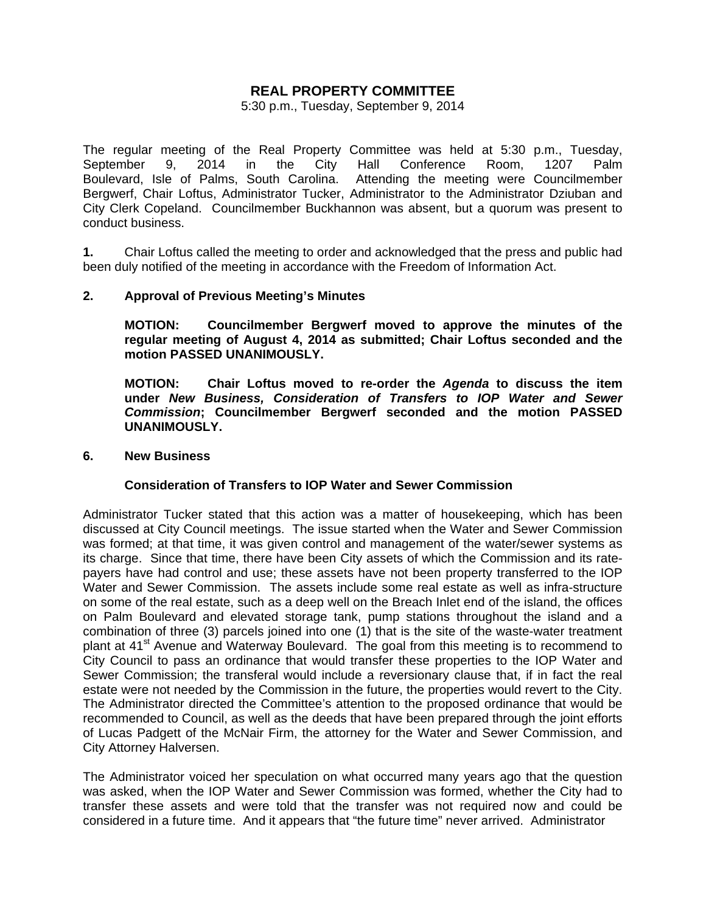# **REAL PROPERTY COMMITTEE**

5:30 p.m., Tuesday, September 9, 2014

The regular meeting of the Real Property Committee was held at 5:30 p.m., Tuesday, September 9, 2014 in the City Hall Conference Room, 1207 Palm Boulevard, Isle of Palms, South Carolina. Attending the meeting were Councilmember Bergwerf, Chair Loftus, Administrator Tucker, Administrator to the Administrator Dziuban and City Clerk Copeland. Councilmember Buckhannon was absent, but a quorum was present to conduct business.

**1.** Chair Loftus called the meeting to order and acknowledged that the press and public had been duly notified of the meeting in accordance with the Freedom of Information Act.

### **2. Approval of Previous Meeting's Minutes**

 **MOTION: Councilmember Bergwerf moved to approve the minutes of the regular meeting of August 4, 2014 as submitted; Chair Loftus seconded and the motion PASSED UNANIMOUSLY.** 

 **MOTION: Chair Loftus moved to re-order the** *Agenda* **to discuss the item under** *New Business, Consideration of Transfers to IOP Water and Sewer Commission***; Councilmember Bergwerf seconded and the motion PASSED UNANIMOUSLY.** 

#### **6. New Business**

### **Consideration of Transfers to IOP Water and Sewer Commission**

Administrator Tucker stated that this action was a matter of housekeeping, which has been discussed at City Council meetings. The issue started when the Water and Sewer Commission was formed; at that time, it was given control and management of the water/sewer systems as its charge. Since that time, there have been City assets of which the Commission and its ratepayers have had control and use; these assets have not been property transferred to the IOP Water and Sewer Commission. The assets include some real estate as well as infra-structure on some of the real estate, such as a deep well on the Breach Inlet end of the island, the offices on Palm Boulevard and elevated storage tank, pump stations throughout the island and a combination of three (3) parcels joined into one (1) that is the site of the waste-water treatment plant at 41<sup>st</sup> Avenue and Waterway Boulevard. The goal from this meeting is to recommend to City Council to pass an ordinance that would transfer these properties to the IOP Water and Sewer Commission; the transferal would include a reversionary clause that, if in fact the real estate were not needed by the Commission in the future, the properties would revert to the City. The Administrator directed the Committee's attention to the proposed ordinance that would be recommended to Council, as well as the deeds that have been prepared through the joint efforts of Lucas Padgett of the McNair Firm, the attorney for the Water and Sewer Commission, and City Attorney Halversen.

The Administrator voiced her speculation on what occurred many years ago that the question was asked, when the IOP Water and Sewer Commission was formed, whether the City had to transfer these assets and were told that the transfer was not required now and could be considered in a future time. And it appears that "the future time" never arrived. Administrator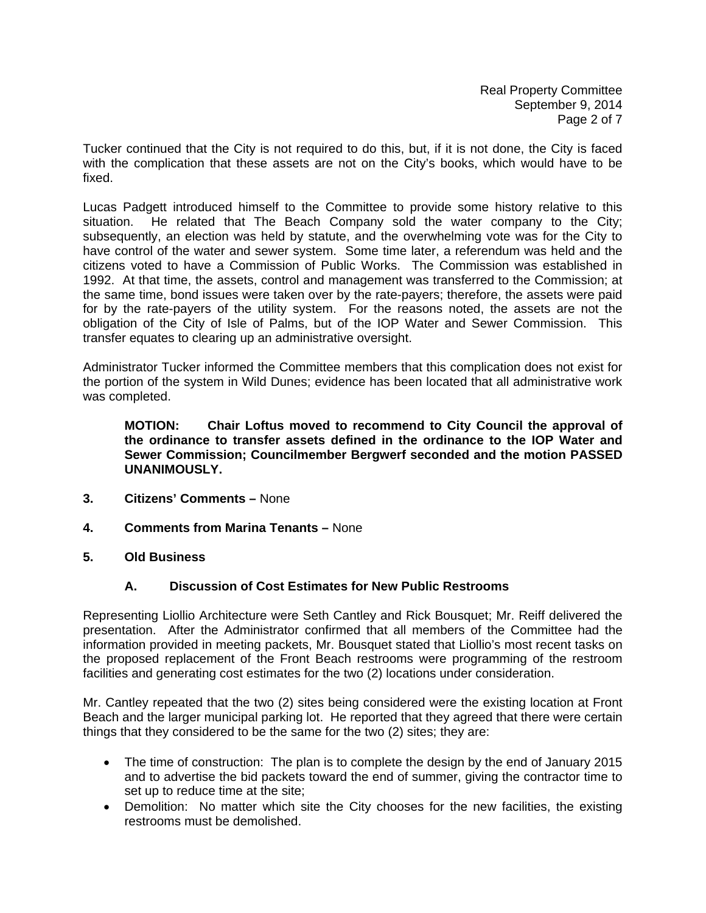Tucker continued that the City is not required to do this, but, if it is not done, the City is faced with the complication that these assets are not on the City's books, which would have to be fixed.

Lucas Padgett introduced himself to the Committee to provide some history relative to this situation. He related that The Beach Company sold the water company to the City; subsequently, an election was held by statute, and the overwhelming vote was for the City to have control of the water and sewer system. Some time later, a referendum was held and the citizens voted to have a Commission of Public Works. The Commission was established in 1992. At that time, the assets, control and management was transferred to the Commission; at the same time, bond issues were taken over by the rate-payers; therefore, the assets were paid for by the rate-payers of the utility system. For the reasons noted, the assets are not the obligation of the City of Isle of Palms, but of the IOP Water and Sewer Commission. This transfer equates to clearing up an administrative oversight.

Administrator Tucker informed the Committee members that this complication does not exist for the portion of the system in Wild Dunes; evidence has been located that all administrative work was completed.

**MOTION: Chair Loftus moved to recommend to City Council the approval of the ordinance to transfer assets defined in the ordinance to the IOP Water and Sewer Commission; Councilmember Bergwerf seconded and the motion PASSED UNANIMOUSLY.** 

- **3. Citizens' Comments** None
- **4. Comments from Marina Tenants** None
- **5. Old Business**

# **A. Discussion of Cost Estimates for New Public Restrooms**

Representing Liollio Architecture were Seth Cantley and Rick Bousquet; Mr. Reiff delivered the presentation. After the Administrator confirmed that all members of the Committee had the information provided in meeting packets, Mr. Bousquet stated that Liollio's most recent tasks on the proposed replacement of the Front Beach restrooms were programming of the restroom facilities and generating cost estimates for the two (2) locations under consideration.

Mr. Cantley repeated that the two (2) sites being considered were the existing location at Front Beach and the larger municipal parking lot. He reported that they agreed that there were certain things that they considered to be the same for the two (2) sites; they are:

- The time of construction: The plan is to complete the design by the end of January 2015 and to advertise the bid packets toward the end of summer, giving the contractor time to set up to reduce time at the site;
- Demolition: No matter which site the City chooses for the new facilities, the existing restrooms must be demolished.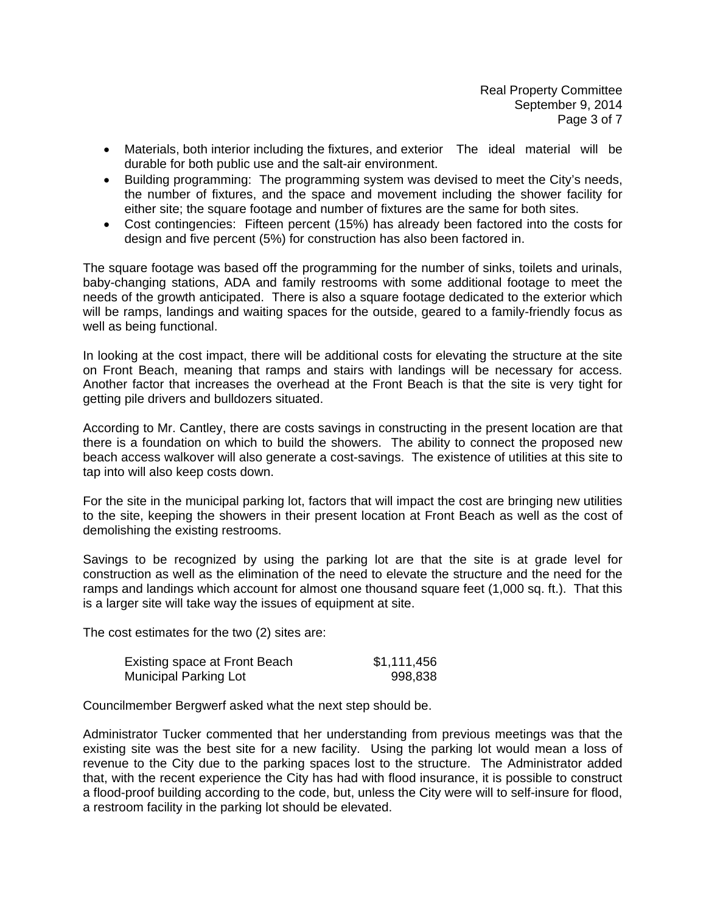- Materials, both interior including the fixtures, and exterior The ideal material will be durable for both public use and the salt-air environment.
- Building programming: The programming system was devised to meet the City's needs, the number of fixtures, and the space and movement including the shower facility for either site; the square footage and number of fixtures are the same for both sites.
- Cost contingencies: Fifteen percent (15%) has already been factored into the costs for design and five percent (5%) for construction has also been factored in.

The square footage was based off the programming for the number of sinks, toilets and urinals, baby-changing stations, ADA and family restrooms with some additional footage to meet the needs of the growth anticipated. There is also a square footage dedicated to the exterior which will be ramps, landings and waiting spaces for the outside, geared to a family-friendly focus as well as being functional.

In looking at the cost impact, there will be additional costs for elevating the structure at the site on Front Beach, meaning that ramps and stairs with landings will be necessary for access. Another factor that increases the overhead at the Front Beach is that the site is very tight for getting pile drivers and bulldozers situated.

According to Mr. Cantley, there are costs savings in constructing in the present location are that there is a foundation on which to build the showers. The ability to connect the proposed new beach access walkover will also generate a cost-savings. The existence of utilities at this site to tap into will also keep costs down.

For the site in the municipal parking lot, factors that will impact the cost are bringing new utilities to the site, keeping the showers in their present location at Front Beach as well as the cost of demolishing the existing restrooms.

Savings to be recognized by using the parking lot are that the site is at grade level for construction as well as the elimination of the need to elevate the structure and the need for the ramps and landings which account for almost one thousand square feet (1,000 sq. ft.). That this is a larger site will take way the issues of equipment at site.

The cost estimates for the two (2) sites are:

| Existing space at Front Beach | \$1,111,456 |
|-------------------------------|-------------|
| <b>Municipal Parking Lot</b>  | 998,838     |

Councilmember Bergwerf asked what the next step should be.

Administrator Tucker commented that her understanding from previous meetings was that the existing site was the best site for a new facility. Using the parking lot would mean a loss of revenue to the City due to the parking spaces lost to the structure. The Administrator added that, with the recent experience the City has had with flood insurance, it is possible to construct a flood-proof building according to the code, but, unless the City were will to self-insure for flood, a restroom facility in the parking lot should be elevated.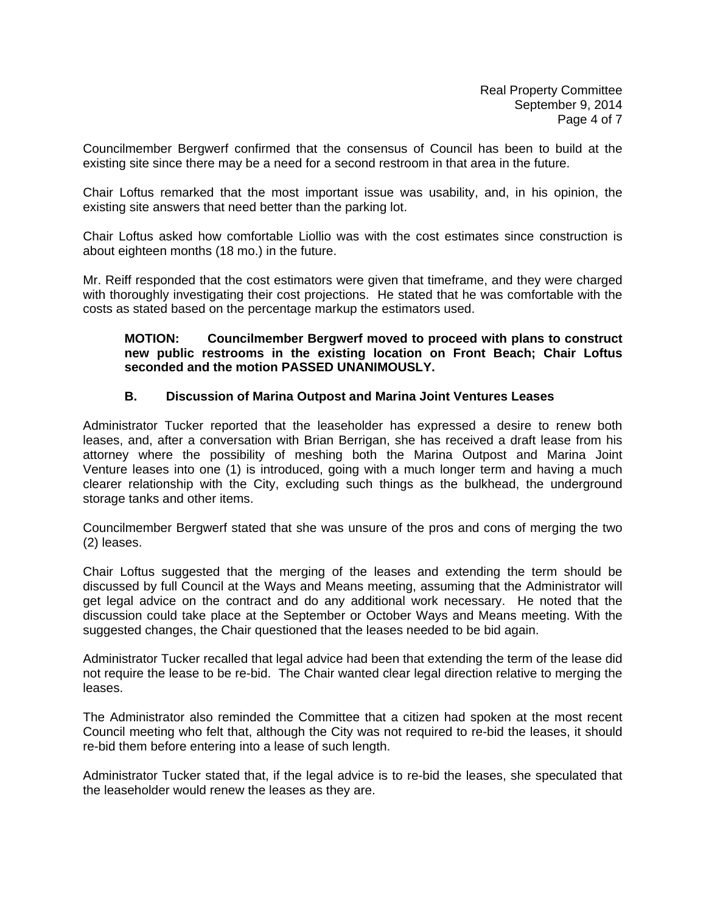Councilmember Bergwerf confirmed that the consensus of Council has been to build at the existing site since there may be a need for a second restroom in that area in the future.

Chair Loftus remarked that the most important issue was usability, and, in his opinion, the existing site answers that need better than the parking lot.

Chair Loftus asked how comfortable Liollio was with the cost estimates since construction is about eighteen months (18 mo.) in the future.

Mr. Reiff responded that the cost estimators were given that timeframe, and they were charged with thoroughly investigating their cost projections. He stated that he was comfortable with the costs as stated based on the percentage markup the estimators used.

### **MOTION: Councilmember Bergwerf moved to proceed with plans to construct new public restrooms in the existing location on Front Beach; Chair Loftus seconded and the motion PASSED UNANIMOUSLY.**

### **B. Discussion of Marina Outpost and Marina Joint Ventures Leases**

Administrator Tucker reported that the leaseholder has expressed a desire to renew both leases, and, after a conversation with Brian Berrigan, she has received a draft lease from his attorney where the possibility of meshing both the Marina Outpost and Marina Joint Venture leases into one (1) is introduced, going with a much longer term and having a much clearer relationship with the City, excluding such things as the bulkhead, the underground storage tanks and other items.

Councilmember Bergwerf stated that she was unsure of the pros and cons of merging the two (2) leases.

Chair Loftus suggested that the merging of the leases and extending the term should be discussed by full Council at the Ways and Means meeting, assuming that the Administrator will get legal advice on the contract and do any additional work necessary. He noted that the discussion could take place at the September or October Ways and Means meeting. With the suggested changes, the Chair questioned that the leases needed to be bid again.

Administrator Tucker recalled that legal advice had been that extending the term of the lease did not require the lease to be re-bid. The Chair wanted clear legal direction relative to merging the leases.

The Administrator also reminded the Committee that a citizen had spoken at the most recent Council meeting who felt that, although the City was not required to re-bid the leases, it should re-bid them before entering into a lease of such length.

Administrator Tucker stated that, if the legal advice is to re-bid the leases, she speculated that the leaseholder would renew the leases as they are.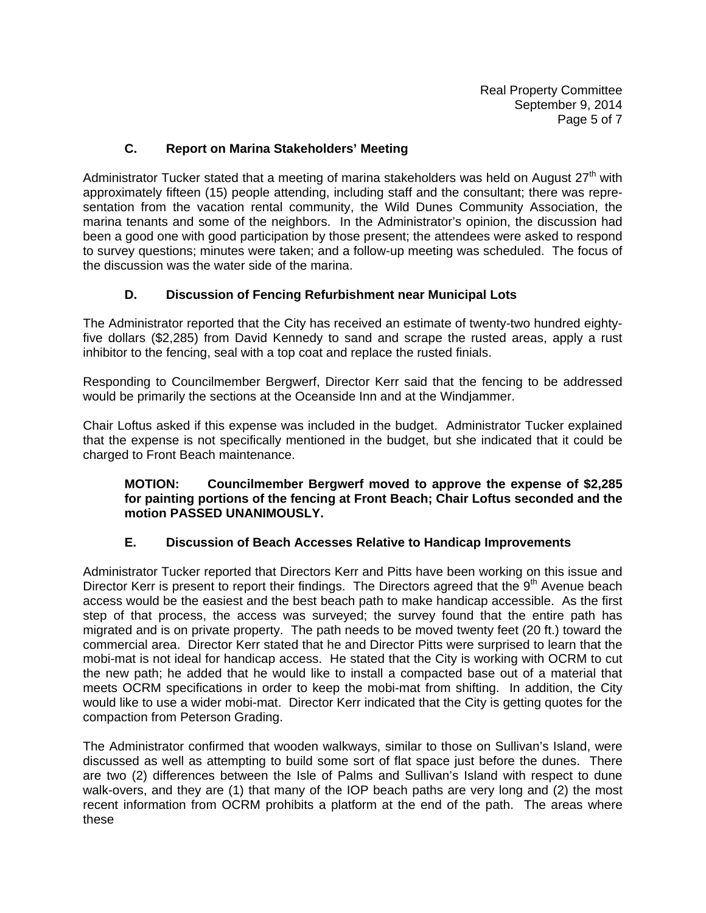# **C. Report on Marina Stakeholders' Meeting**

Administrator Tucker stated that a meeting of marina stakeholders was held on August  $27<sup>th</sup>$  with approximately fifteen (15) people attending, including staff and the consultant; there was representation from the vacation rental community, the Wild Dunes Community Association, the marina tenants and some of the neighbors. In the Administrator's opinion, the discussion had been a good one with good participation by those present; the attendees were asked to respond to survey questions; minutes were taken; and a follow-up meeting was scheduled. The focus of the discussion was the water side of the marina.

# **D. Discussion of Fencing Refurbishment near Municipal Lots**

The Administrator reported that the City has received an estimate of twenty-two hundred eightyfive dollars (\$2,285) from David Kennedy to sand and scrape the rusted areas, apply a rust inhibitor to the fencing, seal with a top coat and replace the rusted finials.

Responding to Councilmember Bergwerf, Director Kerr said that the fencing to be addressed would be primarily the sections at the Oceanside Inn and at the Windjammer.

Chair Loftus asked if this expense was included in the budget. Administrator Tucker explained that the expense is not specifically mentioned in the budget, but she indicated that it could be charged to Front Beach maintenance.

## **MOTION: Councilmember Bergwerf moved to approve the expense of \$2,285 for painting portions of the fencing at Front Beach; Chair Loftus seconded and the motion PASSED UNANIMOUSLY.**

### **E. Discussion of Beach Accesses Relative to Handicap Improvements**

Administrator Tucker reported that Directors Kerr and Pitts have been working on this issue and Director Kerr is present to report their findings. The Directors agreed that the 9<sup>th</sup> Avenue beach access would be the easiest and the best beach path to make handicap accessible. As the first step of that process, the access was surveyed; the survey found that the entire path has migrated and is on private property. The path needs to be moved twenty feet (20 ft.) toward the commercial area. Director Kerr stated that he and Director Pitts were surprised to learn that the mobi-mat is not ideal for handicap access. He stated that the City is working with OCRM to cut the new path; he added that he would like to install a compacted base out of a material that meets OCRM specifications in order to keep the mobi-mat from shifting. In addition, the City would like to use a wider mobi-mat. Director Kerr indicated that the City is getting quotes for the compaction from Peterson Grading.

The Administrator confirmed that wooden walkways, similar to those on Sullivan's Island, were discussed as well as attempting to build some sort of flat space just before the dunes. There are two (2) differences between the Isle of Palms and Sullivan's Island with respect to dune walk-overs, and they are (1) that many of the IOP beach paths are very long and (2) the most recent information from OCRM prohibits a platform at the end of the path. The areas where these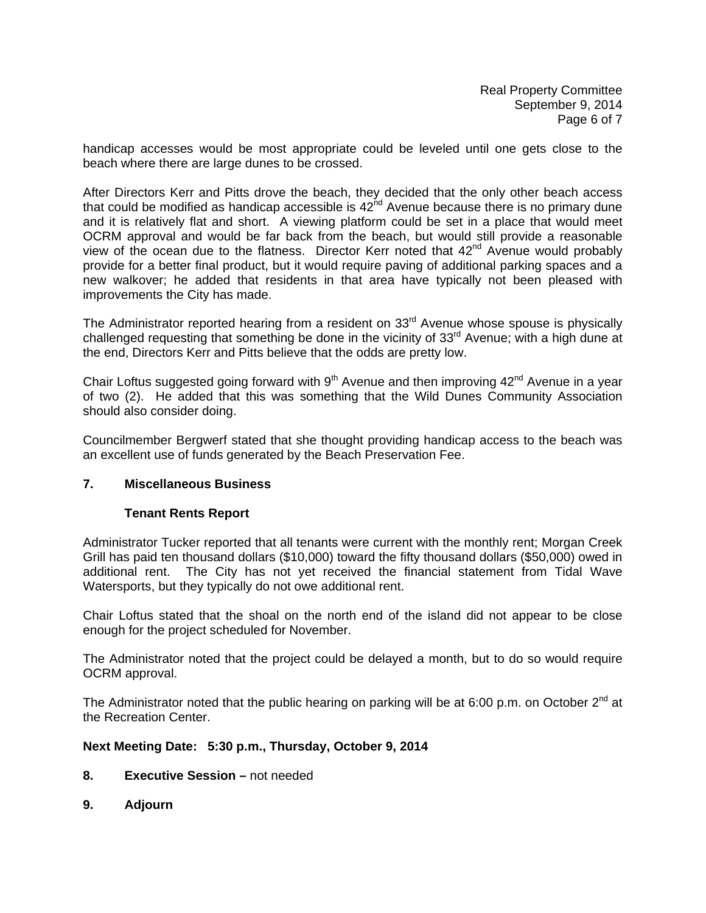handicap accesses would be most appropriate could be leveled until one gets close to the beach where there are large dunes to be crossed.

After Directors Kerr and Pitts drove the beach, they decided that the only other beach access that could be modified as handicap accessible is  $42<sup>nd</sup>$  Avenue because there is no primary dune and it is relatively flat and short. A viewing platform could be set in a place that would meet OCRM approval and would be far back from the beach, but would still provide a reasonable view of the ocean due to the flatness. Director Kerr noted that  $42<sup>nd</sup>$  Avenue would probably provide for a better final product, but it would require paving of additional parking spaces and a new walkover; he added that residents in that area have typically not been pleased with improvements the City has made.

The Administrator reported hearing from a resident on 33<sup>rd</sup> Avenue whose spouse is physically challenged requesting that something be done in the vicinity of 33<sup>rd</sup> Avenue; with a high dune at the end, Directors Kerr and Pitts believe that the odds are pretty low.

Chair Loftus suggested going forward with  $9<sup>th</sup>$  Avenue and then improving  $42<sup>nd</sup>$  Avenue in a year of two (2). He added that this was something that the Wild Dunes Community Association should also consider doing.

Councilmember Bergwerf stated that she thought providing handicap access to the beach was an excellent use of funds generated by the Beach Preservation Fee.

## **7. Miscellaneous Business**

### **Tenant Rents Report**

Administrator Tucker reported that all tenants were current with the monthly rent; Morgan Creek Grill has paid ten thousand dollars (\$10,000) toward the fifty thousand dollars (\$50,000) owed in additional rent. The City has not yet received the financial statement from Tidal Wave Watersports, but they typically do not owe additional rent.

Chair Loftus stated that the shoal on the north end of the island did not appear to be close enough for the project scheduled for November.

The Administrator noted that the project could be delayed a month, but to do so would require OCRM approval.

The Administrator noted that the public hearing on parking will be at 6:00 p.m. on October  $2^{nd}$  at the Recreation Center.

### **Next Meeting Date: 5:30 p.m., Thursday, October 9, 2014**

- **8. Executive Session** not needed
- **9. Adjourn**